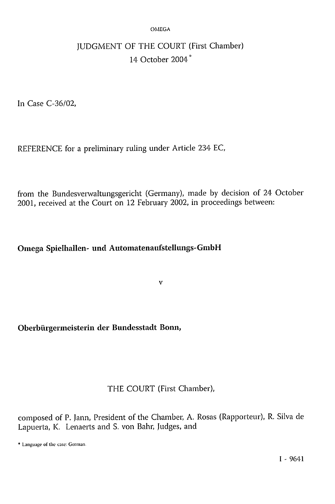#### OMEGA

# JUDGMENT OF THE COURT (First Chamber) 14 October 2004<sup>\*</sup>

In Case C-36/02,

REFERENCE for a preliminary ruling under Article 234 EC,

from the Bundesverwaltungsgericht (Germany), made by decision of 24 October 2001, received at the Court on 12 February 2002, in proceedings between:

# **Omega Spielhallen- und Automatenaufstellungs-GmbH**

**v** 

### **Oberbürgermeisterin der Bundesstadt Bonn,**

### THE COURT (First Chamber),

composed of P. Jann, President of the Chamber, A. Rosas (Rapporteur), R. Silva de Lapuerta, K. Lenaerts and S. von Bahr, Judges, and

\* Language of the case: German.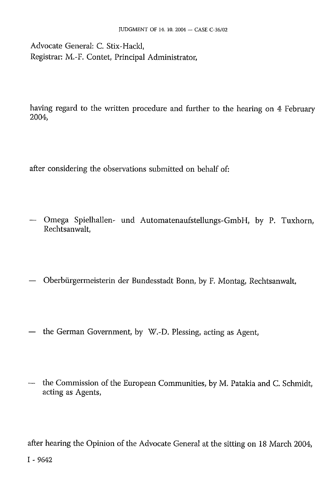Advocate General: C. Stix-Hackl, Registrar: M.-F. Contet, Principal Administrator,

having regard to the written procedure and further to the hearing on 4 February 2004,

after considering the observations submitted on behalf of:

- Omega Spielhallen- und Automatenaufstellungs-GmbH, by P. Tuxhorn, Rechtsanwalt,
- Oberbürgermeisterin der Bundesstadt Bonn, by F. Montag, Rechtsanwalt,
- the German Government, by W.-D. Plessing, acting as Agent,
- the Commission of the European Communities, by M. Patakia and C. Schmidt, acting as Agents,

after hearing the Opinion of the Advocate General at the sitting on 18 March 2004,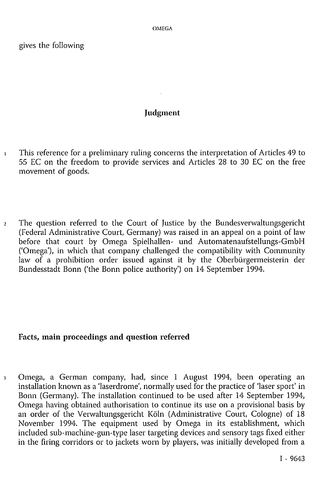gives the following

#### **Judgment**

- 1 This reference for a preliminary ruling concerns the interpretation of Articles 49 to 55 EC on the freedom to provide services and Articles 28 to 30 EC on the free movement of goods.
- 2 The question referred to the Court of Justice by the Bundesverwaltungsgericht (Federal Administrative Court, Germany) was raised in an appeal on a point of law before that court by Omega Spielhallen- und Automatenaufstellungs-GmbH ('Omega'), in which that company challenged the compatibility with Community law of a prohibition order issued against it by the Oberbürgermeisterin der Bundesstadt Bonn ('the Bonn police authority') on 14 September 1994.

# **Facts, main proceedings and question referred**

3 Omega, a German company, had, since 1 August 1994, been operating an installation known as a 'laserdrome', normally used for the practice of 'laser sport' in Bonn (Germany). The installation continued to be used after 14 September 1994, Omega having obtained authorisation to continue its use on a provisional basis by an order of the Verwaltungsgericht Köln (Administrative Court, Cologne) of 18 November 1994. The equipment used by Omega in its establishment, which included sub-machine-gun-type laser targeting devices and sensory tags fixed either in the firing corridors or to jackets worn by players, was initially developed from a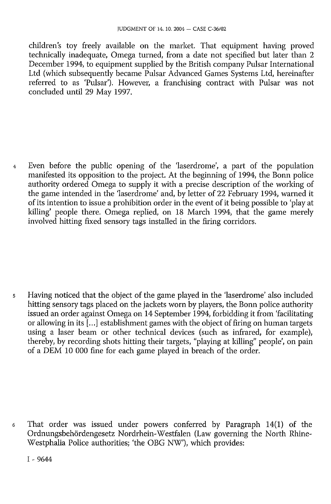children's toy freely available on the market. That equipment having proved technically inadequate, Omega turned, from a date not specified but later than 2 December 1994, to equipment supplied by the British company Pulsar International Ltd (which subsequently became Pulsar Advanced Games Systems Ltd, hereinafter referred to as 'Pulsar'). However, a franchising contract with Pulsar was not concluded until 29 May 1997.

4 Even before the public opening of the 'laserdrome', a part of the population manifested its opposition to the project. At the beginning of 1994, the Bonn police authority ordered Omega to supply it with a precise description of the working of the game intended in the 'laserdrome' and, by letter of 22 February 1994, warned it of its intention to issue a prohibition order in the event of it being possible to 'play at killing' people there. Omega replied, on 18 March 1994, that the game merely involved hitting fixed sensory tags installed in the firing corridors.

5 Having noticed that the object of the game played in the 'laserdrome' also included hitting sensory tags placed on the jackets worn by players, the Bonn police authority issued an order against Omega on 14 September 1994, forbidding it from 'facilitating or allowing in its [...] establishment games with the object of firing on human targets using a laser beam or other technical devices (such as infrared, for example), thereby, by recording shots hitting their targets, "playing at killing" people', on pain of a DEM 10 000 fine for each game played in breach of the order.

6 That order was issued under powers conferred by Paragraph 14(1) of the Ordnungsbehördengesetz Nordrhein-Westfalen (Law governing the North Rhine-Westphalia Police authorities; 'the OBG NW'), which provides: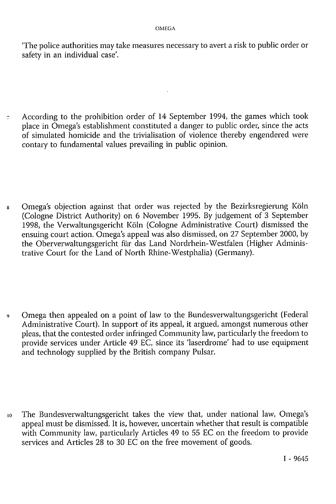'The police authorities may take measures necessary to avert a risk to public order or safety in an individual case'.

7 According to the prohibition order of 14 September 1994, the games which took place in Omega's establishment constituted a danger to public order, since the acts of simulated homicide and the trivialisation of violence thereby engendered were contary to fundamental values prevailing in public opinion.

8 Omega's objection against that order was rejected by the Bezirksregierung Köln (Cologne District Authority) on 6 November 1995. By judgement of 3 September 1998, the Verwaltungsgericht Köln (Cologne Administrative Court) dismissed the ensuing court action. Omega's appeal was also dismissed, on 27 September 2000, by the Oberverwaltungsgericht für das Land Nordrhein-Westfalen (Higher Administrative Court for the Land of North Rhine-Westphalia) (Germany).

9 Omega then appealed on a point of law to the Bundesverwaltungsgericht (Federal Administrative Court). In support of its appeal, it argued, amongst numerous other pleas, that the contested order infringed Community law, particularly the freedom to provide services under Article 49 EC, since its 'laserdrome' had to use equipment and technology supplied by the British company Pulsar.

10 The Bundesverwaltungsgericht takes the view that, under national law, Omega's appeal must be dismissed. It is, however, uncertain whether that result is compatible with Community law, particularly Articles 49 to 55 EC on the freedom to provide services and Articles 28 to 30 EC on the free movement of goods.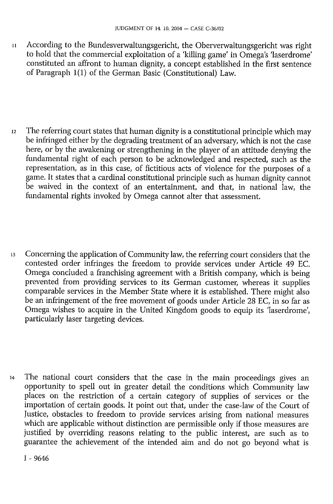- 1 1 According to the Bundesverwaltungsgericht, the Oberverwaltungsgericht was right to hold that the commercial exploitation of a 'killing game' in Omega's 'laserdrome' constituted an affront to human dignity, a concept established in the first sentence of Paragraph 1(1) of the German Basic (Constitutional) Law.
- 12 The referring court states that human dignity is a constitutional principle which may be infringed either by the degrading treatment of an adversary, which is not the case here, or by the awakening or strengthening in the player of an attitude denying the fundamental right of each person to be acknowledged and respected, such as the representation, as in this case, of fictitious acts of violence for the purposes of a game. It states that a cardinal constitutional principle such as human dignity cannot be waived in the context of an entertainment, and that, in national law, the fundamental rights invoked by Omega cannot alter that assessment.
- 13 Concerning the application of Community law, the referring court considers that the contested order infringes the freedom to provide services under Article 49 EC. Omega concluded a franchising agreement with a British company, which is being prevented from providing services to its German customer, whereas it supplies comparable services in the Member State where it is established. There might also be an infringement of the free movement of goods under Article 28 EC, in so far as Omega wishes to acquire in the United Kingdom goods to equip its 'laserdrome', particularly laser targeting devices.
- 14 The national court considers that the case in the main proceedings gives an opportunity to spell out in greater detail the conditions which Community law places on the restriction of a certain category of supplies of services or the importation of certain goods. It point out that, under the case-law of the Court of Justice, obstacles to freedom to provide services arising from national measures which are applicable without distinction are permissible only if those measures are justified by overriding reasons relating to the public interest, are such as to guarantee the achievement of the intended aim and do not go beyond what is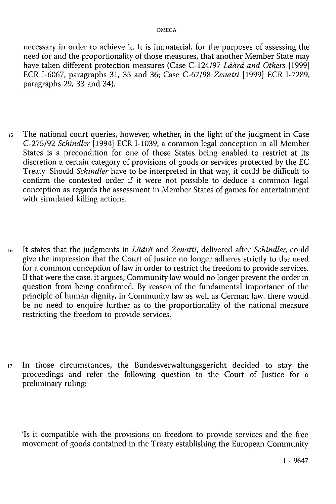necessary in order to achieve it. It is immaterial, for the purposes of assessing the need for and the proportionality of those measures, that another Member State may have taken different protection measures (Case C-124/97 *Läärä and Others* [1999] ECR 1-6067, paragraphs 31, 35 and 36; Case C-67/98 *Zenatti* [1999] ECR I-7289, paragraphs 29, 33 and 34).

- 15 The national court queries, however, whether, in the light of the judgment in Case C-275/92 *Schindler* [1994] ECR I-1039, a common legal conception in all Member States is a precondition for one of those States being enabled to restrict at its discretion a certain category of provisions of goods or services protected by the EC Treaty. Should *Schindler* have to be interpreted in that way, it could be difficult to confirm the contested order if it were not possible to deduce a common legal conception as regards the assessment in Member States of games for entertainment with simulated killing actions.
- 16 It states that the judgments in *Läärä* and *Zenatti,* delivered after *Schindler,* could give the impression that the Court of Justice no longer adheres strictly to the need for a common conception of law in order to restrict the freedom to provide services. If that were the case, it argues, Community law would no longer prevent the order in question from being confirmed. By reason of the fundamental importance of the principle of human dignity, in Community law as well as German law, there would be no need to enquire further as to the proportionality of the national measure restricting the freedom to provide services.
- 17 In those circumstances, the Bundesverwaltungsgericht decided to stay the proceedings and refer the following question to the Court of Justice for a preliminary ruling:

'Is it compatible with the provisions on freedom to provide services and the free movement of goods contained in the Treaty establishing the European Community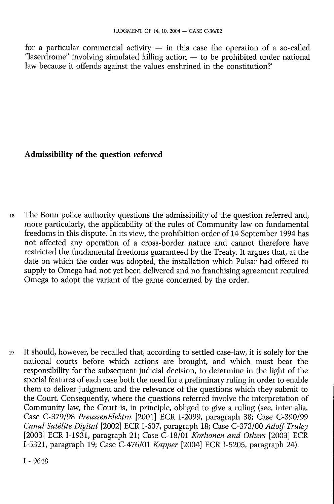for a particular commercial activity  $-$  in this case the operation of a so-called "laserdrome" involving simulated killing action — to be prohibited under national law because it offends against the values enshrined in the constitution?'

# **Admissibility of the question referred**

18 The Bonn police authority questions the admissibility of the question referred and, more particularly, the applicability of the rules of Community law on fundamental freedoms in this dispute. In its view, the prohibition order of 14 September 1994 has not affected any operation of a cross-border nature and cannot therefore have restricted the fundamental freedoms guaranteed by the Treaty. It argues that, at the date on which the order was adopted, the installation which Pulsar had offered to supply to Omega had not yet been delivered and no franchising agreement required Omega to adopt the variant of the game concerned by the order.

19 It should, however, be recalled that, according to settled case-law, it is solely for the national courts before which actions are brought, and which must bear the responsibility for the subsequent judicial decision, to determine in the light of the special features of each case both the need for a preliminary ruling in order to enable them to deliver judgment and the relevance of the questions which they submit to the Court. Consequently, where the questions referred involve the interpretation of Community law, the Court is, in principle, obliged to give a ruling (see, inter alia, Case C-379/98 *PreussenElektra* [2001] ECR I-2099, paragraph 38; Case C-390/99 *Canal Satélite Digital* [2002] ECR I-607, paragraph 18; Case C-373/00 *Adolf Truley*  [2003] ECR I-1931, paragraph 21; Case C-18/01 *Korhonen and Others* [2003] ECR I-5321, paragraph 19; Case C-476/01 *Kapper* [2004] ECR I-5205, paragraph 24).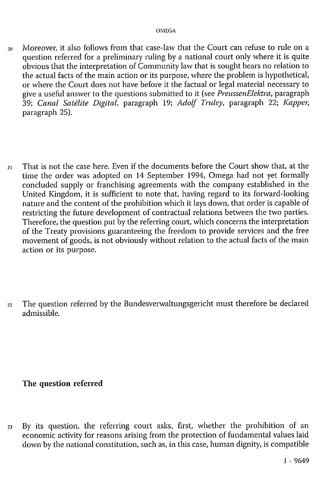- 20 Moreover, it also follows from that case-law that the Court can refuse to rule on a question referred for a preliminary ruling by a national court only where it is quite obvious that the interpretation of Community law that is sought bears no relation to the actual facts of the main action or its purpose, where the problem is hypothetical, or where the Court does not have before it the factual or legal material necessary to give a useful answer to the questions submitted to it (see *PreussenElektra,* paragraph 39; *Canal Satélite Digital,* paragraph 19; *Adolf Truley,* paragraph 22; *Kapper,*  paragraph 25).
- $21$  That is not the case here. Even if the documents before the Court show that, at the time the order was adopted on 14 September 1994, Omega had not yet formally concluded supply or franchising agreements with the company established in the United Kingdom, it is sufficient to note that, having regard to its forward-looking nature and the content of the prohibition which it lays down, that order is capable of restricting the future development of contractual relations between the two parties. Therefore, the question put by the referring court, which concerns the interpretation of the Treaty provisions guaranteeing the freedom to provide services and the free movement of goods, is not obviously without relation to the actual facts of the main action or its purpose.
- 22 The question referred by the Bundesverwaltungsgericht must therefore be declared admissible.

# **The question referred**

23 By its question, the referring court asks, first, whether the prohibition of an economic activity for reasons arising from the protection of fundamental values laid down by the national constitution, such as, in this case, human dignity, is compatible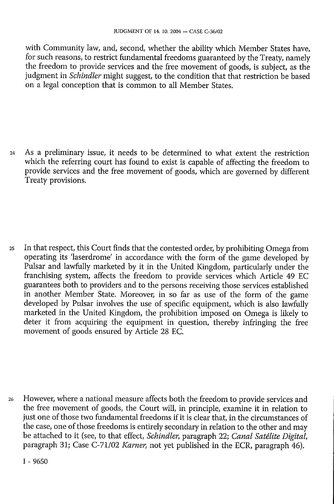with Community law, and, second, whether the ability which Member States have, for such reasons, to restrict fundamental freedoms guaranteed by the Treaty, namely the freedom to provide services and the free movement of goods, is subject, as the judgment in *Schindler* might suggest, to the condition that that restriction be based on a legal conception that is common to all Member States.

24 As a preliminary issue, it needs to be determined to what extent the restriction which the referring court has found to exist is capable of affecting the freedom to provide services and the free movement of goods, which are governed by different Treaty provisions.

25 In that respect, this Court finds that the contested order, by prohibiting Omega from operating its 'laserdrome' in accordance with the form of the game developed by Pulsar and lawfully marketed by it in the United Kingdom, particularly under the franchising system, affects the freedom to provide services which Article 49 EC guarantees both to providers and to the persons receiving those services established in another Member State. Moreover, in so far as use of the form of the game developed by Pulsar involves the use of specific equipment, which is also lawfully marketed in the United Kingdom, the prohibition imposed on Omega is likely to deter it from acquiring the equipment in question, thereby infringing the free movement of goods ensured by Article 28 EC.

26 However, where a national measure affects both the freedom to provide services and the free movement of goods, the Court will, in principle, examine it in relation to just one of those two fundamental freedoms if it is clear that, in the circumstances of the case, one of those freedoms is entirely secondary in relation to the other and may be attached to it (see, to that effect, *Schindler,* paragraph 22; *Canal Satélite Digital,*  paragraph 31; Case C-71/02 *Karner,* not yet published in the ECR, paragraph 46).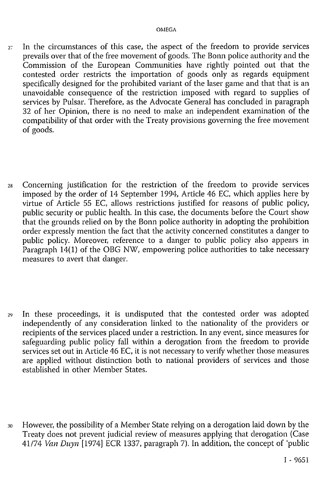- $27$  In the circumstances of this case, the aspect of the freedom to provide services prevails over that of the free movement of goods. The Bonn police authority and the Commission of the European Communities have rightly pointed out that the contested order restricts the importation of goods only as regards equipment specifically designed for the prohibited variant of the laser game and that that is an unavoidable consequence of the restriction imposed with regard to supplies of services by Pulsar. Therefore, as the Advocate General has concluded in paragraph 32 of her Opinion, there is no need to make an independent examination of the compatibility of that order with the Treaty provisions governing the free movement of goods.
- 28 Concerning justification for the restriction of the freedom to provide services imposed by the order of 14 September 1994, Article 46 EC, which applies here by virtue of Article 55 EC, allows restrictions justified for reasons of public policy, public security or public health. In this case, the documents before the Court show that the grounds relied on by the Bonn police authority in adopting the prohibition order expressly mention the fact that the activity concerned constitutes a danger to public policy. Moreover, reference to a danger to public policy also appears in Paragraph  $14(1)$  of the OBG NW, empowering police authorities to take necessary measures to avert that danger.
- 29 In these proceedings, it is undisputed that the contested order was adopted independently of any consideration linked to the nationality of the providers or recipients of the services placed under a restriction. In any event, since measures for safeguarding public policy fall within a derogation from the freedom to provide services set out in Article 46 EC, it is not necessary to verify whether those measures are applied without distinction both to national providers of services and those established in other Member States.
- 30 However, the possibility of a Member State relying on a derogation laid down by the Treaty does not prevent judicial review of measures applying that derogation (Case 41/74 *Van Duyn* [1974] ECR 1337, paragraph 7). In addition, the concept of 'public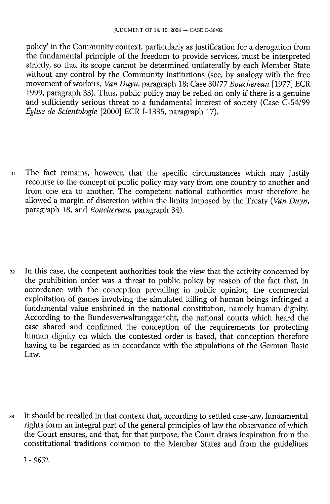policy' in the Community context, particularly as justification for a derogation from the fundamental principle of the freedom to provide services, must be interpreted strictly, so that its scope cannot be determined unilaterally by each Member State without any control by the Community institutions (see, by analogy with the free movement of workers, Van Duyn, paragraph 18; Case 30/77 Bouchereau [1977] ECR 1999, paragraph 33). Thus, public policy may be relied on only if there is a genuine and sufficiently serious threat to a fundamental interest of society (Case C-54/99 *Église de Scientologie* [2000] ECR I-1335, paragraph 17).

31 The fact remains, however, that the specific circumstances which may justify recourse to the concept of public policy may vary from one country to another and from one era to another. The competent national authorities must therefore be allowed a margin of discretion within the limits imposed by the Treaty *(Van Duyn,*  paragraph 18, and *Bouchereau,* paragraph 34).

32 In this case, the competent authorities took the view that the activity concerned by the prohibition order was a threat to public policy by reason of the fact that, in accordance with the conception prevailing in public opinion, the commercial exploitation of games involving the simulated killing of human beings infringed a fundamental value enshrined in the national constitution, namely human dignity. According to the Bundesverwaltungsgericht, the national courts which heard the case shared and confirmed the conception of the requirements for protecting human dignity on which the contested order is based, that conception therefore having to be regarded as in accordance with the stipulations of the German Basic Law.

33 It should be recalled in that context that, according to settled case-law, fundamental rights form an integral part of the general principles of law the observance of which the Court ensures, and that, for that purpose, the Court draws inspiration from the constitutional traditions common to the Member States and from the guidelines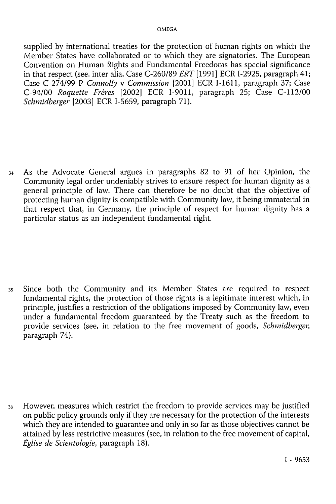supplied by international treaties for the protection of human rights on which the Member States have collaborated or to which they are signatories. The European Convention on Human Rights and Fundamental Freedoms has special significance in that respect (see, inter alia, Case C-260/89 *ERT* [1991] ECR I-2925, paragraph 41; Case C-274/99 P *Connolly* v *Commission* [2001] ECR I-1611, paragraph 37; Case C-94/00 *Roquette Frères* [2002] ECR I-9011, paragraph 25; Case C-112/00 *Schmidberger* [2003] ECR I-5659, paragraph 71).

34 As the Advocate General argues in paragraphs 82 to 91 of her Opinion, the Community legal order undeniably strives to ensure respect for human dignity as a general principle of law. There can therefore be no doubt that the objective of protecting human dignity is compatible with Community law, it being immaterial in that respect that, in Germany, the principle of respect for human dignity has a particular status as an independent fundamental right.

35 Since both the Community and its Member States are required to respect fundamental rights, the protection of those rights is a legitimate interest which, in principle, justifies a restriction of the obligations imposed by Community law, even under a fundamental freedom guaranteed by the Treaty such as the freedom to provide services (see, in relation to the free movement of goods, *Schmidberger,*  paragraph 74).

36 However, measures which restrict the freedom to provide services may be justified on public policy grounds only if they are necessary for the protection of the interests which they are intended to guarantee and only in so far as those objectives cannot be attained by less restrictive measures (see, in relation to the free movement of capital, *Église de Scientologie,* paragraph 18).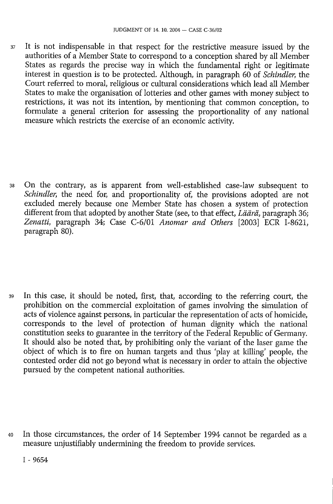37 It is not indispensable in that respect for the restrictive measure issued by the authorities of a Member State to correspond to a conception shared by all Member States as regards the precise way in which the fundamental right or legitimate interest in question is to be protected. Although, in paragraph 60 of *Schindler,* the Court referred to moral, religious or cultural considerations which lead all Member States to make the organisation of lotteries and other games with money subject to restrictions, it was not its intention, by mentioning that common conception, to formulate a general criterion for assessing the proportionality of any national measure which restricts the exercise of an economic activity.

38 On the contrary, as is apparent from well-established case-law subsequent to *Schindler,* the need for, and proportionality of, the provisions adopted are not excluded merely because one Member State has chosen a system of protection different from that adopted by another State (see, to that effect, *Läärä,* paragraph 36; *Zenatti,* paragraph 34; Case C-6/01 *Anomar and Others* [2003] ECR I-8621, paragraph 80).

39 In this case, it should be noted, first, that, according to the referring court, the prohibition on the commercial exploitation of games involving the simulation of acts of violence against persons, in particular the representation of acts of homicide, corresponds to the level of protection of human dignity which the national constitution seeks to guarantee in the territory of the Federal Republic of Germany. It should also be noted that, by prohibiting only the variant of the laser game the object of which is to fire on human targets and thus 'play at killing' people, the contested order did not go beyond what is necessary in order to attain the objective pursued by the competent national authorities.

40 In those circumstances, the order of 14 September 1994 cannot be regarded as a measure unjustifiably undermining the freedom to provide services.